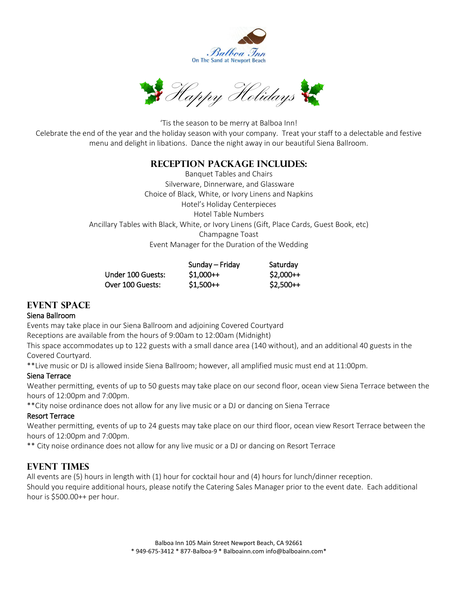



'Tis the season to be merry at Balboa Inn! Celebrate the end of the year and the holiday season with your company. Treat your staff to a delectable and festive menu and delight in libations. Dance the night away in our beautiful Siena Ballroom.

## **Reception Package Includes:**

Banquet Tables and Chairs Silverware, Dinnerware, and Glassware Choice of Black, White, or Ivory Linens and Napkins Hotel's Holiday Centerpieces Hotel Table Numbers Ancillary Tables with Black, White, or Ivory Linens (Gift, Place Cards, Guest Book, etc) Champagne Toast Event Manager for the Duration of the Wedding

|                   | Sunday – Friday | Saturday   |
|-------------------|-----------------|------------|
| Under 100 Guests: | $$1.000++$      | $$2,000++$ |
| Over 100 Guests:  | $$1,500++$      | $$2,500++$ |

## **EVENT SPACE**

## Siena Ballroom

Events may take place in our Siena Ballroom and adjoining Covered Courtyard

Receptions are available from the hours of 9:00am to 12:00am (Midnight)

This space accommodates up to 122 guests with a small dance area (140 without), and an additional 40 guests in the Covered Courtyard.

\*\*Live music or DJ is allowed inside Siena Ballroom; however, all amplified music must end at 11:00pm.

## Siena Terrace

Weather permitting, events of up to 50 guests may take place on our second floor, ocean view Siena Terrace between the hours of 12:00pm and 7:00pm.

\*\*City noise ordinance does not allow for any live music or a DJ or dancing on Siena Terrace

## Resort Terrace

Weather permitting, events of up to 24 guests may take place on our third floor, ocean view Resort Terrace between the hours of 12:00pm and 7:00pm.

\*\* City noise ordinance does not allow for any live music or a DJ or dancing on Resort Terrace

# **Event Times**

All events are (5) hours in length with (1) hour for cocktail hour and (4) hours for lunch/dinner reception. Should you require additional hours, please notify the Catering Sales Manager prior to the event date. Each additional hour is \$500.00++ per hour.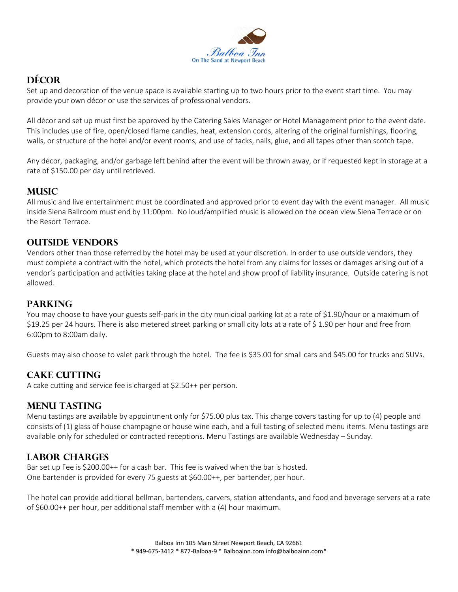

# **Décor**

Set up and decoration of the venue space is available starting up to two hours prior to the event start time. You may provide your own décor or use the services of professional vendors.

All décor and set up must first be approved by the Catering Sales Manager or Hotel Management prior to the event date. This includes use of fire, open/closed flame candles, heat, extension cords, altering of the original furnishings, flooring, walls, or structure of the hotel and/or event rooms, and use of tacks, nails, glue, and all tapes other than scotch tape.

Any décor, packaging, and/or garbage left behind after the event will be thrown away, or if requested kept in storage at a rate of \$150.00 per day until retrieved.

# **MUSIC**

All music and live entertainment must be coordinated and approved prior to event day with the event manager. All music inside Siena Ballroom must end by 11:00pm. No loud/amplified music is allowed on the ocean view Siena Terrace or on the Resort Terrace.

# **Outside Vendors**

Vendors other than those referred by the hotel may be used at your discretion. In order to use outside vendors, they must complete a contract with the hotel, which protects the hotel from any claims for losses or damages arising out of a vendor's participation and activities taking place at the hotel and show proof of liability insurance. Outside catering is not allowed.

# **Parking**

You may choose to have your guests self-park in the city municipal parking lot at a rate of \$1.90/hour or a maximum of \$19.25 per 24 hours. There is also metered street parking or small city lots at a rate of \$ 1.90 per hour and free from 6:00pm to 8:00am daily.

Guests may also choose to valet park through the hotel. The fee is \$35.00 for small cars and \$45.00 for trucks and SUVs.

# **Cake Cutting**

A cake cutting and service fee is charged at \$2.50++ per person.

# **Menu Tasting**

Menu tastings are available by appointment only for \$75.00 plus tax. This charge covers tasting for up to (4) people and consists of (1) glass of house champagne or house wine each, and a full tasting of selected menu items. Menu tastings are available only for scheduled or contracted receptions. Menu Tastings are available Wednesday – Sunday.

# **Labor Charges**

Bar set up Fee is \$200.00++ for a cash bar. This fee is waived when the bar is hosted. One bartender is provided for every 75 guests at \$60.00++, per bartender, per hour.

The hotel can provide additional bellman, bartenders, carvers, station attendants, and food and beverage servers at a rate of \$60.00++ per hour, per additional staff member with a (4) hour maximum.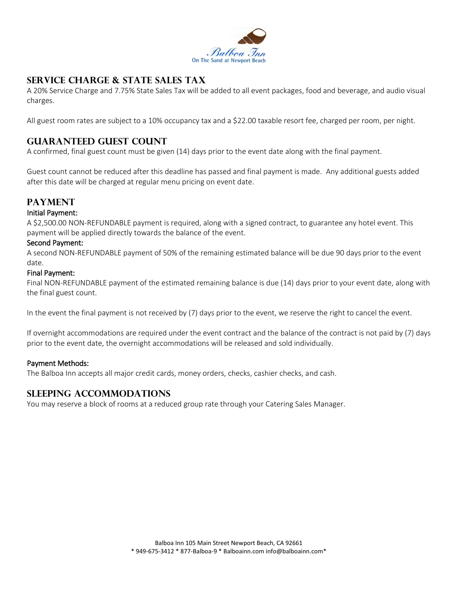

# **Service Charge & State Sales Tax**

A 20% Service Charge and 7.75% State Sales Tax will be added to all event packages, food and beverage, and audio visual charges.

All guest room rates are subject to a 10% occupancy tax and a \$22.00 taxable resort fee, charged per room, per night.

# **Guaranteed Guest Count**

A confirmed, final guest count must be given (14) days prior to the event date along with the final payment.

Guest count cannot be reduced after this deadline has passed and final payment is made. Any additional guests added after this date will be charged at regular menu pricing on event date.

## **Payment**

#### Initial Payment:

A \$2,500.00 NON-REFUNDABLE payment is required, along with a signed contract, to guarantee any hotel event. This payment will be applied directly towards the balance of the event.

#### Second Payment:

A second NON-REFUNDABLE payment of 50% of the remaining estimated balance will be due 90 days prior to the event date.

#### Final Payment:

Final NON-REFUNDABLE payment of the estimated remaining balance is due (14) days prior to your event date, along with the final guest count.

In the event the final payment is not received by (7) days prior to the event, we reserve the right to cancel the event.

If overnight accommodations are required under the event contract and the balance of the contract is not paid by (7) days prior to the event date, the overnight accommodations will be released and sold individually.

#### Payment Methods:

The Balboa Inn accepts all major credit cards, money orders, checks, cashier checks, and cash.

## **Sleeping Accommodations**

You may reserve a block of rooms at a reduced group rate through your Catering Sales Manager.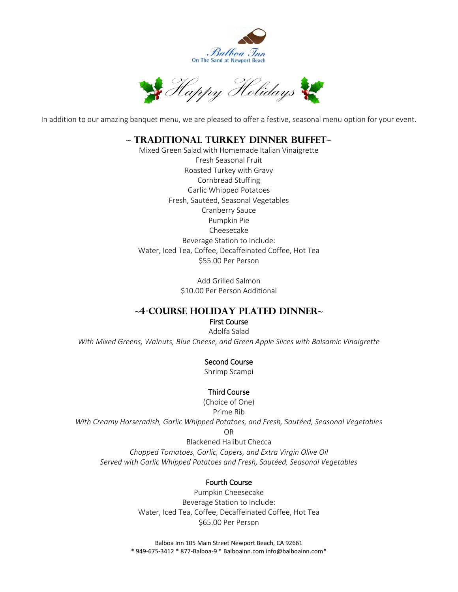

Happy Holidays

In addition to our amazing banquet menu, we are pleased to offer a festive, seasonal menu option for your event.

## **~ Traditional Turkey Dinner Buffet~**

Mixed Green Salad with Homemade Italian Vinaigrette Fresh Seasonal Fruit Roasted Turkey with Gravy Cornbread Stuffing Garlic Whipped Potatoes Fresh, Sautéed, Seasonal Vegetables Cranberry Sauce Pumpkin Pie Cheesecake Beverage Station to Include: Water, Iced Tea, Coffee, Decaffeinated Coffee, Hot Tea \$55.00 Per Person

> Add Grilled Salmon \$10.00 Per Person Additional

## **~4-Course Holiday Plated Dinner~**

#### First Course Adolfa Salad *With Mixed Greens, Walnuts, Blue Cheese, and Green Apple Slices with Balsamic Vinaigrette*

## Second Course

Shrimp Scampi

## Third Course

(Choice of One) Prime Rib *With Creamy Horseradish, Garlic Whipped Potatoes, and Fresh, Sautéed, Seasonal Vegetables* OR Blackened Halibut Checca

*Chopped Tomatoes, Garlic, Capers, and Extra Virgin Olive Oil Served with Garlic Whipped Potatoes and Fresh, Sautéed, Seasonal Vegetables*

#### Fourth Course

Pumpkin Cheesecake Beverage Station to Include: Water, Iced Tea, Coffee, Decaffeinated Coffee, Hot Tea \$65.00 Per Person

Balboa Inn 105 Main Street Newport Beach, CA 92661 \* 949-675-3412 \* 877-Balboa-9 \* Balboainn.com info@balboainn.com\*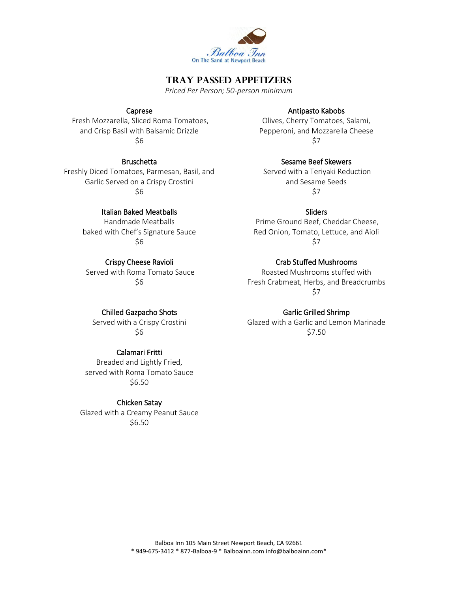

## **Tray Passed Appetizers**

*Priced Per Person; 50-person minimum*

#### Caprese

Fresh Mozzarella, Sliced Roma Tomatoes, and Crisp Basil with Balsamic Drizzle \$6

#### **Bruschetta**

Freshly Diced Tomatoes, Parmesan, Basil, and Garlic Served on a Crispy Crostini \$6

#### Italian Baked Meatballs

Handmade Meatballs baked with Chef's Signature Sauce \$6

#### Crispy Cheese Ravioli

Served with Roma Tomato Sauce \$6

#### Chilled Gazpacho Shots

Served with a Crispy Crostini \$6

#### Calamari Fritti

Breaded and Lightly Fried, served with Roma Tomato Sauce \$6.50

#### Chicken Satay

Glazed with a Creamy Peanut Sauce \$6.50

#### Antipasto Kabobs

Olives, Cherry Tomatoes, Salami, Pepperoni, and Mozzarella Cheese \$7

Sesame Beef Skewers

Served with a Teriyaki Reduction and Sesame Seeds \$7

#### **Sliders**

Prime Ground Beef, Cheddar Cheese, Red Onion, Tomato, Lettuce, and Aioli \$7

#### Crab Stuffed Mushrooms

Roasted Mushrooms stuffed with Fresh Crabmeat, Herbs, and Breadcrumbs \$7

#### Garlic Grilled Shrimp

Glazed with a Garlic and Lemon Marinade \$7.50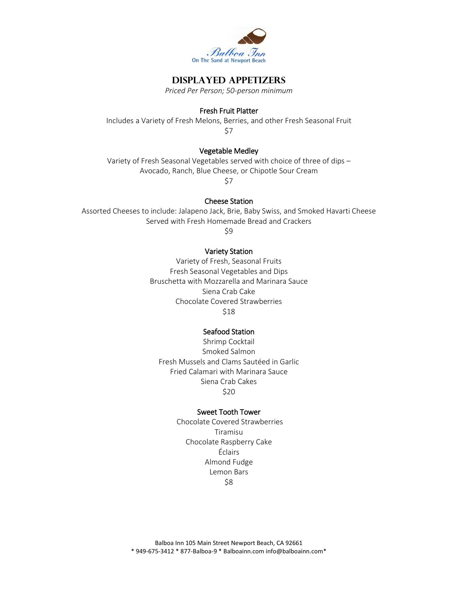

## **Displayed Appetizers**

*Priced Per Person; 50-person minimum*

#### Fresh Fruit Platter

Includes a Variety of Fresh Melons, Berries, and other Fresh Seasonal Fruit \$7

## Vegetable Medley

Variety of Fresh Seasonal Vegetables served with choice of three of dips – Avocado, Ranch, Blue Cheese, or Chipotle Sour Cream

\$7

#### Cheese Station

Assorted Cheeses to include: Jalapeno Jack, Brie, Baby Swiss, and Smoked Havarti Cheese Served with Fresh Homemade Bread and Crackers

\$9

#### Variety Station

Variety of Fresh, Seasonal Fruits Fresh Seasonal Vegetables and Dips Bruschetta with Mozzarella and Marinara Sauce Siena Crab Cake Chocolate Covered Strawberries \$18

#### Seafood Station

Shrimp Cocktail Smoked Salmon Fresh Mussels and Clams Sautéed in Garlic Fried Calamari with Marinara Sauce Siena Crab Cakes \$20

#### Sweet Tooth Tower

Chocolate Covered Strawberries Tiramisu Chocolate Raspberry Cake Éclairs Almond Fudge Lemon Bars \$8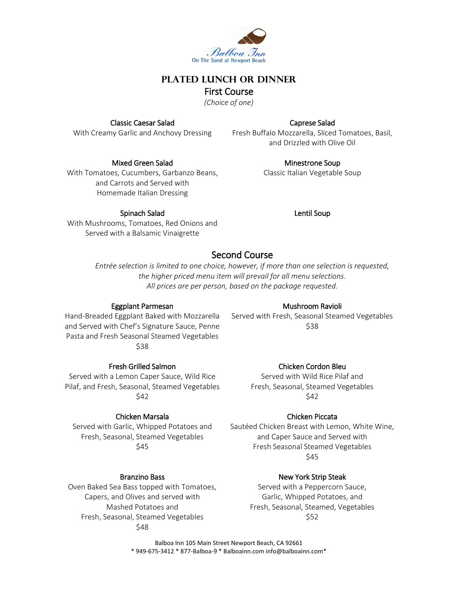

## **Plated Lunch or Dinner** First Course

*(Choice of one)*

## Classic Caesar Salad

With Creamy Garlic and Anchovy Dressing

### Mixed Green Salad

With Tomatoes, Cucumbers, Garbanzo Beans, and Carrots and Served with Homemade Italian Dressing

## Spinach Salad

Caprese Salad

Fresh Buffalo Mozzarella, Sliced Tomatoes, Basil, and Drizzled with Olive Oil

> Minestrone Soup Classic Italian Vegetable Soup

### Lentil Soup

With Mushrooms, Tomatoes, Red Onions and Served with a Balsamic Vinaigrette

# Second Course

*Entrée selection is limited to one choice, however, if more than one selection is requested, the higher priced menu item will prevail for all menu selections. All prices are per person, based on the package requested.*

## Eggplant Parmesan

Hand-Breaded Eggplant Baked with Mozzarella and Served with Chef's Signature Sauce, Penne Pasta and Fresh Seasonal Steamed Vegetables \$38

Fresh Grilled Salmon

Served with a Lemon Caper Sauce, Wild Rice Pilaf, and Fresh, Seasonal, Steamed Vegetables \$42

## Chicken Marsala

Served with Garlic, Whipped Potatoes and Fresh, Seasonal, Steamed Vegetables \$45

## Branzino Bass

Oven Baked Sea Bass topped with Tomatoes, Capers, and Olives and served with Mashed Potatoes and Fresh, Seasonal, Steamed Vegetables \$48

## Mushroom Ravioli

Served with Fresh, Seasonal Steamed Vegetables \$38

## Chicken Cordon Bleu

Served with Wild Rice Pilaf and Fresh, Seasonal, Steamed Vegetables \$42

## Chicken Piccata

Sautéed Chicken Breast with Lemon, White Wine, and Caper Sauce and Served with Fresh Seasonal Steamed Vegetables \$45

## New York Strip Steak

Served with a Peppercorn Sauce, Garlic, Whipped Potatoes, and Fresh, Seasonal, Steamed, Vegetables \$52

Balboa Inn 105 Main Street Newport Beach, CA 92661 \* 949-675-3412 \* 877-Balboa-9 \* Balboainn.com info@balboainn.com\*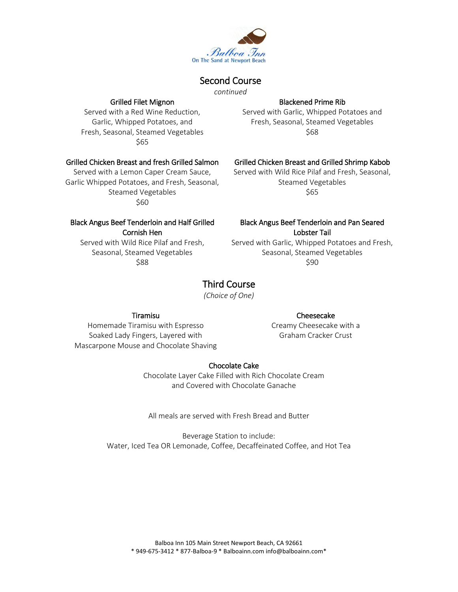

# Second Course

*continued*

#### Grilled Filet Mignon

Served with a Red Wine Reduction, Garlic, Whipped Potatoes, and Fresh, Seasonal, Steamed Vegetables \$65

### Grilled Chicken Breast and fresh Grilled Salmon

Served with a Lemon Caper Cream Sauce, Garlic Whipped Potatoes, and Fresh, Seasonal, Steamed Vegetables \$60

# Blackened Prime Rib

Served with Garlic, Whipped Potatoes and Fresh, Seasonal, Steamed Vegetables \$68

## Grilled Chicken Breast and Grilled Shrimp Kabob

Served with Wild Rice Pilaf and Fresh, Seasonal, Steamed Vegetables \$65

# Black Angus Beef Tenderloin and Half Grilled Cornish Hen

Served with Wild Rice Pilaf and Fresh, Seasonal, Steamed Vegetables \$88

## Black Angus Beef Tenderloin and Pan Seared Lobster Tail

Served with Garlic, Whipped Potatoes and Fresh, Seasonal, Steamed Vegetables \$90

# Third Course

*(Choice of One)*

## Tiramisu

#### Cheesecake

Creamy Cheesecake with a Graham Cracker Crust

Homemade Tiramisu with Espresso Soaked Lady Fingers, Layered with Mascarpone Mouse and Chocolate Shaving

## Chocolate Cake

Chocolate Layer Cake Filled with Rich Chocolate Cream and Covered with Chocolate Ganache

All meals are served with Fresh Bread and Butter

Beverage Station to include: Water, Iced Tea OR Lemonade, Coffee, Decaffeinated Coffee, and Hot Tea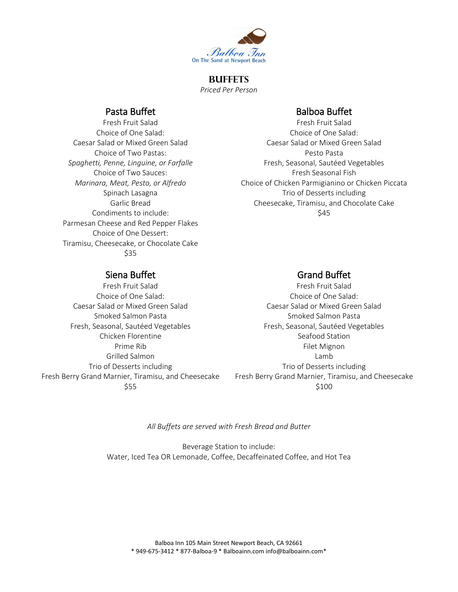

## **Buffets** *Priced Per Person*

# Pasta Buffet

Fresh Fruit Salad Choice of One Salad: Caesar Salad or Mixed Green Salad Choice of Two Pastas: *Spaghetti, Penne, Linguine, or Farfalle* Choice of Two Sauces: *Marinara, Meat, Pesto, or Alfredo* Spinach Lasagna Garlic Bread Condiments to include: Parmesan Cheese and Red Pepper Flakes Choice of One Dessert: Tiramisu, Cheesecake, or Chocolate Cake \$35

# Balboa Buffet

Fresh Fruit Salad Choice of One Salad: Caesar Salad or Mixed Green Salad Pesto Pasta Fresh, Seasonal, Sautéed Vegetables Fresh Seasonal Fish Choice of Chicken Parmigianino or Chicken Piccata Trio of Desserts including Cheesecake, Tiramisu, and Chocolate Cake \$45

# Siena Buffet

Fresh Fruit Salad Choice of One Salad: Caesar Salad or Mixed Green Salad Smoked Salmon Pasta Fresh, Seasonal, Sautéed Vegetables Chicken Florentine Prime Rib Grilled Salmon Trio of Desserts including Fresh Berry Grand Marnier, Tiramisu, and Cheesecake \$55

# Grand Buffet

Fresh Fruit Salad Choice of One Salad: Caesar Salad or Mixed Green Salad Smoked Salmon Pasta Fresh, Seasonal, Sautéed Vegetables Seafood Station Filet Mignon Lamb Trio of Desserts including Fresh Berry Grand Marnier, Tiramisu, and Cheesecake \$100

*All Buffets are served with Fresh Bread and Butter*

Beverage Station to include: Water, Iced Tea OR Lemonade, Coffee, Decaffeinated Coffee, and Hot Tea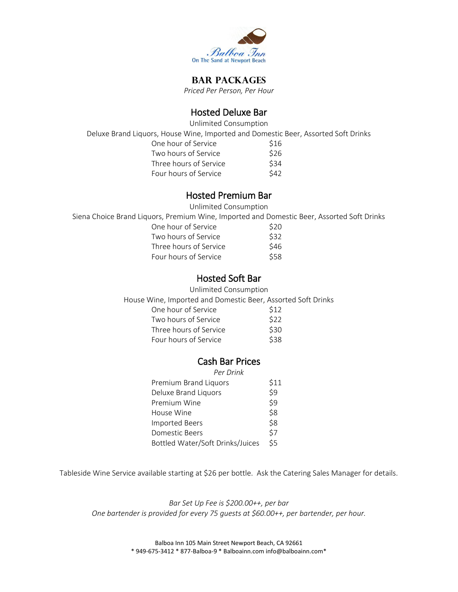

# **Bar Packages**

*Priced Per Person, Per Hour*

# Hosted Deluxe Bar

Unlimited Consumption

Deluxe Brand Liquors, House Wine, Imported and Domestic Beer, Assorted Soft Drinks

| One hour of Service    | S <sub>16</sub> |
|------------------------|-----------------|
| Two hours of Service   | \$26            |
| Three hours of Service | \$34            |
| Four hours of Service  | \$42            |

## Hosted Premium Bar

Unlimited Consumption

Siena Choice Brand Liquors, Premium Wine, Imported and Domestic Beer, Assorted Soft Drinks

| One hour of Service    | \$20 |
|------------------------|------|
| Two hours of Service   | \$32 |
| Three hours of Service | \$46 |
| Four hours of Service  | \$58 |

# Hosted Soft Bar

Unlimited Consumption

House Wine, Imported and Domestic Beer, Assorted Soft Drinks

| One hour of Service    | <b>S12</b> |
|------------------------|------------|
| Two hours of Service   | \$22       |
| Three hours of Service | \$30       |
| Four hours of Service  | \$38       |
|                        |            |

# Cash Bar Prices

| Per Drink                        |            |
|----------------------------------|------------|
| Premium Brand Liquors            | \$11       |
| Deluxe Brand Liquors             | \$9        |
| Premium Wine                     | \$9        |
| House Wine                       | \$8        |
| <b>Imported Beers</b>            | \$8        |
| Domestic Beers                   | <b>\$7</b> |
| Bottled Water/Soft Drinks/Juices | \$5        |

Tableside Wine Service available starting at \$26 per bottle. Ask the Catering Sales Manager for details.

*Bar Set Up Fee is \$200.00++, per bar One bartender is provided for every 75 guests at \$60.00++, per bartender, per hour.*

> Balboa Inn 105 Main Street Newport Beach, CA 92661 \* 949-675-3412 \* 877-Balboa-9 \* Balboainn.com info@balboainn.com\*